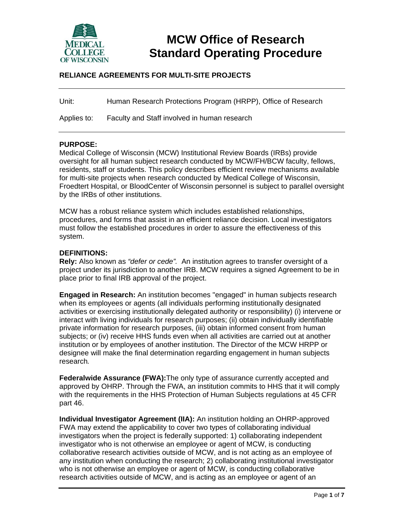

# **MCW Office of Research Standard Operating Procedure**

# **RELIANCE AGREEMENTS FOR MULTI-SITE PROJECTS**

Unit: Human Research Protections Program (HRPP), Office of Research

Applies to: Faculty and Staff involved in human research

#### **PURPOSE:**

Medical College of Wisconsin (MCW) Institutional Review Boards (IRBs) provide oversight for all human subject research conducted by MCW/FH/BCW faculty, fellows, residents, staff or students. This policy describes efficient review mechanisms available for multi-site projects when research conducted by Medical College of Wisconsin, Froedtert Hospital, or BloodCenter of Wisconsin personnel is subject to parallel oversight by the IRBs of other institutions.

MCW has a robust reliance system which includes established relationships, procedures, and forms that assist in an efficient reliance decision. Local investigators must follow the established procedures in order to assure the effectiveness of this system.

#### **DEFINITIONS:**

**Rely:** Also known as *"defer or cede".* An institution agrees to transfer oversight of a project under its jurisdiction to another IRB. MCW requires a signed Agreement to be in place prior to final IRB approval of the project.

**Engaged in Research:** An institution becomes "engaged" in human subjects research when its employees or agents (all individuals performing institutionally designated activities or exercising institutionally delegated authority or responsibility) (i) intervene or interact with living individuals for research purposes; (ii) obtain individually identifiable private information for research purposes, (iii) obtain informed consent from human subjects; or (iv) receive HHS funds even when all activities are carried out at another institution or by employees of another institution. The Director of the MCW HRPP or designee will make the final determination regarding engagement in human subjects research*.*

**Federalwide Assurance (FWA):**The only type of assurance currently accepted and approved by OHRP. Through the FWA, an institution commits to HHS that it will comply with the requirements in the HHS Protection of Human Subjects regulations at 45 CFR part 46.

**Individual Investigator Agreement (IIA):** An institution holding an OHRP-approved FWA may extend the applicability to cover two types of collaborating individual investigators when the project is federally supported: 1) collaborating independent investigator who is not otherwise an employee or agent of MCW, is conducting collaborative research activities outside of MCW, and is not acting as an employee of any institution when conducting the research; 2) collaborating institutional investigator who is not otherwise an employee or agent of MCW, is conducting collaborative research activities outside of MCW, and is acting as an employee or agent of an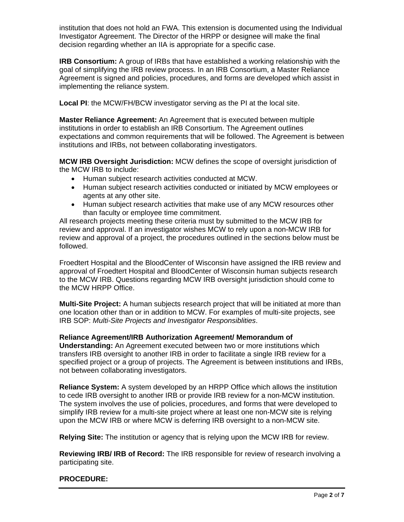institution that does not hold an FWA. This extension is documented using the Individual Investigator Agreement. The Director of the HRPP or designee will make the final decision regarding whether an IIA is appropriate for a specific case.

**IRB Consortium:** A group of IRBs that have established a working relationship with the goal of simplifying the IRB review process. In an IRB Consortium, a Master Reliance Agreement is signed and policies, procedures, and forms are developed which assist in implementing the reliance system.

**Local PI**: the MCW/FH/BCW investigator serving as the PI at the local site.

**Master Reliance Agreement:** An Agreement that is executed between multiple institutions in order to establish an IRB Consortium. The Agreement outlines expectations and common requirements that will be followed. The Agreement is between institutions and IRBs, not between collaborating investigators.

**MCW IRB Oversight Jurisdiction:** MCW defines the scope of oversight jurisdiction of the MCW IRB to include:

- Human subject research activities conducted at MCW.
- Human subject research activities conducted or initiated by MCW employees or agents at any other site.
- Human subject research activities that make use of any MCW resources other than faculty or employee time commitment.

All research projects meeting these criteria must by submitted to the MCW IRB for review and approval. If an investigator wishes MCW to rely upon a non-MCW IRB for review and approval of a project, the procedures outlined in the sections below must be followed.

Froedtert Hospital and the BloodCenter of Wisconsin have assigned the IRB review and approval of Froedtert Hospital and BloodCenter of Wisconsin human subjects research to the MCW IRB. Questions regarding MCW IRB oversight jurisdiction should come to the MCW HRPP Office.

**Multi-Site Project:** A human subjects research project that will be initiated at more than one location other than or in addition to MCW. For examples of multi-site projects, see IRB SOP: *Multi-Site Projects and Investigator Responsiblities*.

# **Reliance Agreement/IRB Authorization Agreement/ Memorandum of**

**Understanding:** An Agreement executed between two or more institutions which transfers IRB oversight to another IRB in order to facilitate a single IRB review for a specified project or a group of projects. The Agreement is between institutions and IRBs, not between collaborating investigators.

**Reliance System:** A system developed by an HRPP Office which allows the institution to cede IRB oversight to another IRB or provide IRB review for a non-MCW institution. The system involves the use of policies, procedures, and forms that were developed to simplify IRB review for a multi-site project where at least one non-MCW site is relying upon the MCW IRB or where MCW is deferring IRB oversight to a non-MCW site.

**Relying Site:** The institution or agency that is relying upon the MCW IRB for review.

**Reviewing IRB/ IRB of Record:** The IRB responsible for review of research involving a participating site.

# **PROCEDURE:**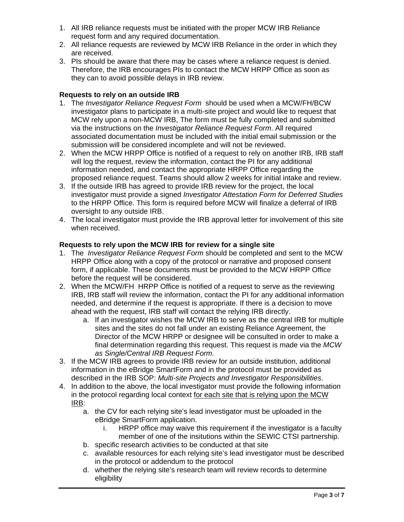- 1. All IRB reliance requests must be initiated with the proper MCW IRB Reliance request form and any required documentation.
- 2. All reliance requests are reviewed by MCW IRB Reliance in the order in which they are received.
- 3. PIs should be aware that there may be cases where a reliance request is denied. Therefore, the IRB encourages PIs to contact the MCW HRPP Office as soon as they can to avoid possible delays in IRB review.

# **Requests to rely on an outside IRB**

- 1. The *Investigator Reliance Request Form* should be used when a MCW/FH/BCW investigator plans to participate in a multi-site project and would like to request that MCW rely upon a non-MCW IRB, The form must be fully completed and submitted via the instructions on the *Investigator Reliance Request Form*. All required associated documentation must be included with the initial email submission or the submission will be considered incomplete and will not be reviewed.
- 2. When the MCW HRPP Office is notified of a request to rely on another IRB, IRB staff will log the request, review the information, contact the PI for any additional information needed, and contact the appropriate HRPP Office regarding the proposed reliance request. Teams should allow 2 weeks for initial intake and review.
- 3. If the outside IRB has agreed to provide IRB review for the project, the local investigator must provide a signed *Investigator Attestation Form for Deferred Studies* to the HRPP Office. This form is required before MCW will finalize a deferral of IRB oversight to any outside IRB.
- 4. The local investigator must provide the IRB approval letter for involvement of this site when received.

### **Requests to rely upon the MCW IRB for review for a single site**

- 1. The *Investigator Reliance Request Form* should be completed and sent to the MCW HRPP Office along with a copy of the protocol or narrative and proposed consent form, if applicable. These documents must be provided to the MCW HRPP Office before the request will be considered.
- 2. When the MCW/FH HRPP Office is notified of a request to serve as the reviewing IRB, IRB staff will review the information, contact the PI for any additional information needed, and determine if the request is appropriate. If there is a decision to move ahead with the request, IRB staff will contact the relying IRB directly.
	- a. If an investigator wishes the MCW IRB to serve as the central IRB for multiple sites and the sites do not fall under an existing Reliance Agreement, the Director of the MCW HRPP or designee will be consulted in order to make a final determination regarding this request. This request is made via the *MCW as Single/Central IRB Request Form.*
- 3. If the MCW IRB agrees to provide IRB review for an outside institution, additional information in the eBridge SmartForm and in the protocol must be provided as described in the IRB SOP: *Multi-site Projects and Investigator Responsibilities*.
- 4. In addition to the above, the local investigator must provide the following information in the protocol regarding local context for each site that is relying upon the MCW IRB:
	- a. the CV for each relying site's lead investigator must be uploaded in the eBridge SmartForm application.
		- i. HRPP office may waive this requirement if the investigator is a faculty member of one of the insitutions within the SEWIC CTSI partnership.
	- b. specific research activities to be conducted at that site
	- c. available resources for each relying site's lead investigator must be described in the protocol or addendum to the protocol
	- d. whether the relying site's research team will review records to determine eligibility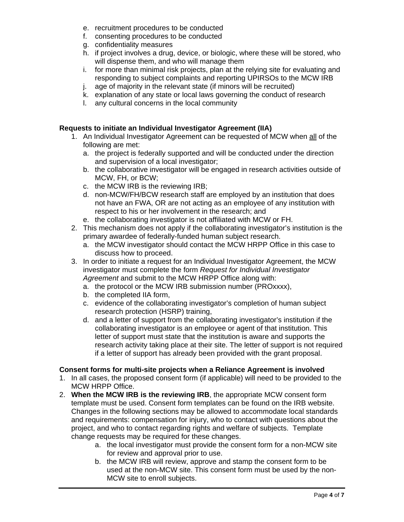- e. recruitment procedures to be conducted
- f. consenting procedures to be conducted
- g. confidentiality measures
- h. if project involves a drug, device, or biologic, where these will be stored, who will dispense them, and who will manage them
- i. for more than minimal risk projects, plan at the relying site for evaluating and responding to subject complaints and reporting UPIRSOs to the MCW IRB
- j. age of majority in the relevant state (if minors will be recruited)
- k. explanation of any state or local laws governing the conduct of research
- l. any cultural concerns in the local community

# **Requests to initiate an Individual Investigator Agreement (IIA)**

- 1. An Individual Investigator Agreement can be requested of MCW when all of the following are met:
	- a. the project is federally supported and will be conducted under the direction and supervision of a local investigator;
	- b. the collaborative investigator will be engaged in research activities outside of MCW, FH, or BCW;
	- c. the MCW IRB is the reviewing IRB;
	- d. non-MCW/FH/BCW research staff are employed by an institution that does not have an FWA, OR are not acting as an employee of any institution with respect to his or her involvement in the research; and
	- e. the collaborating investigator is not affiliated with MCW or FH.
- 2. This mechanism does not apply if the collaborating investigator's institution is the primary awardee of federally-funded human subject research.
	- a. the MCW investigator should contact the MCW HRPP Office in this case to discuss how to proceed.
- 3. In order to initiate a request for an Individual Investigator Agreement, the MCW investigator must complete the form *Request for Individual Investigator Agreement* and submit to the MCW HRPP Office along with:
	- a. the protocol or the MCW IRB submission number (PROxxxx),
	- b. the completed IIA form,
	- c. evidence of the collaborating investigator's completion of human subject research protection (HSRP) training,
	- d. and a letter of support from the collaborating investigator's institution if the collaborating investigator is an employee or agent of that institution. This letter of support must state that the institution is aware and supports the research activity taking place at their site. The letter of support is not required if a letter of support has already been provided with the grant proposal.

### **Consent forms for multi-site projects when a Reliance Agreement is involved**

- 1. In all cases, the proposed consent form (if applicable) will need to be provided to the MCW HRPP Office.
- 2. **When the MCW IRB is the reviewing IRB**, the appropriate MCW consent form template must be used. Consent form templates can be found on the IRB website. Changes in the following sections may be allowed to accommodate local standards and requirements: compensation for injury, who to contact with questions about the project, and who to contact regarding rights and welfare of subjects. Template change requests may be required for these changes.
	- a. the local investigator must provide the consent form for a non-MCW site for review and approval prior to use.
	- b. the MCW IRB will review, approve and stamp the consent form to be used at the non-MCW site. This consent form must be used by the non-MCW site to enroll subjects.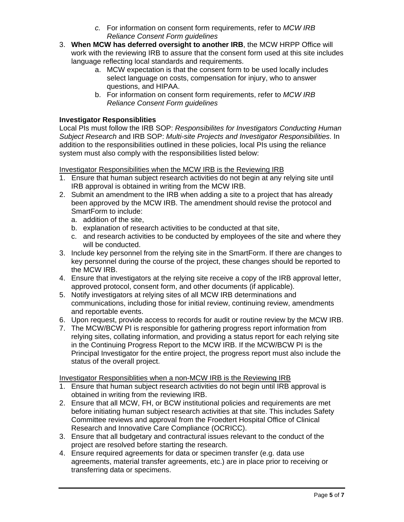- *c.* For information on consent form requirements, refer to *MCW IRB Reliance Consent Form guidelines*
- 3. **When MCW has deferred oversight to another IRB**, the MCW HRPP Office will work with the reviewing IRB to assure that the consent form used at this site includes language reflecting local standards and requirements.
	- a. MCW expectation is that the consent form to be used locally includes select language on costs, compensation for injury, who to answer questions, and HIPAA.
	- b. For information on consent form requirements, refer to *MCW IRB Reliance Consent Form guidelines*

# **Investigator Responsiblities**

Local PIs must follow the IRB SOP: *Responsibilites for Investigators Conducting Human Subject Research* and IRB SOP: *Multi-site Projects and Investigator Responsibilities*. In addition to the responsibilities outlined in these policies, local PIs using the reliance system must also comply with the responsibilities listed below:

### Investigator Responsibilities when the MCW IRB is the Reviewing IRB

- 1. Ensure that human subject research activities do not begin at any relying site until IRB approval is obtained in writing from the MCW IRB.
- 2. Submit an amendment to the IRB when adding a site to a project that has already been approved by the MCW IRB. The amendment should revise the protocol and SmartForm to include:
	- a. addition of the site,
	- b. explanation of research activities to be conducted at that site,
	- c. and research activities to be conducted by employees of the site and where they will be conducted.
- 3. Include key personnel from the relying site in the SmartForm. If there are changes to key personnel during the course of the project, these changes should be reported to the MCW IRB.
- 4. Ensure that investigators at the relying site receive a copy of the IRB approval letter, approved protocol, consent form, and other documents (if applicable).
- 5. Notify investigators at relying sites of all MCW IRB determinations and communications, including those for initial review, continuing review, amendments and reportable events.
- 6. Upon request, provide access to records for audit or routine review by the MCW IRB.
- 7. The MCW/BCW PI is responsible for gathering progress report information from relying sites, collating information, and providing a status report for each relying site in the Continuing Progress Report to the MCW IRB. If the MCW/BCW PI is the Principal Investigator for the entire project, the progress report must also include the status of the overall project.

### Investigator Responsiblities when a non-MCW IRB is the Reviewing IRB

- 1. Ensure that human subject research activities do not begin until IRB approval is obtained in writing from the reviewing IRB.
- 2. Ensure that all MCW, FH, or BCW institutional policies and requirements are met before initiating human subject research activities at that site. This includes Safety Committee reviews and approval from the Froedtert Hospital Office of Clinical Research and Innovative Care Compliance (OCRICC).
- 3. Ensure that all budgetary and contractural issues relevant to the conduct of the project are resolved before starting the research.
- 4. Ensure required agreements for data or specimen transfer (e.g. data use agreements, material transfer agreements, etc.) are in place prior to receiving or transferring data or specimens.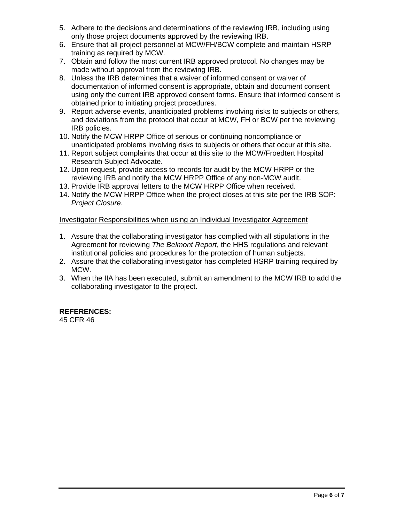- 5. Adhere to the decisions and determinations of the reviewing IRB, including using only those project documents approved by the reviewing IRB.
- 6. Ensure that all project personnel at MCW/FH/BCW complete and maintain HSRP training as required by MCW.
- 7. Obtain and follow the most current IRB approved protocol. No changes may be made without approval from the reviewing IRB.
- 8. Unless the IRB determines that a waiver of informed consent or waiver of documentation of informed consent is appropriate, obtain and document consent using only the current IRB approved consent forms. Ensure that informed consent is obtained prior to initiating project procedures.
- 9. Report adverse events, unanticipated problems involving risks to subjects or others, and deviations from the protocol that occur at MCW, FH or BCW per the reviewing IRB policies.
- 10. Notify the MCW HRPP Office of serious or continuing noncompliance or unanticipated problems involving risks to subjects or others that occur at this site.
- 11. Report subject complaints that occur at this site to the MCW/Froedtert Hospital Research Subject Advocate.
- 12. Upon request, provide access to records for audit by the MCW HRPP or the reviewing IRB and notify the MCW HRPP Office of any non-MCW audit.
- 13. Provide IRB approval letters to the MCW HRPP Office when received.
- 14. Notify the MCW HRPP Office when the project closes at this site per the IRB SOP: *Project Closure*.

### Investigator Responsibilities when using an Individual Investigator Agreement

- 1. Assure that the collaborating investigator has complied with all stipulations in the Agreement for reviewing *The Belmont Report*, the HHS regulations and relevant institutional policies and procedures for the protection of human subjects.
- 2. Assure that the collaborating investigator has completed HSRP training required by MCW.
- 3. When the IIA has been executed, submit an amendment to the MCW IRB to add the collaborating investigator to the project.

# **REFERENCES:**

45 CFR 46